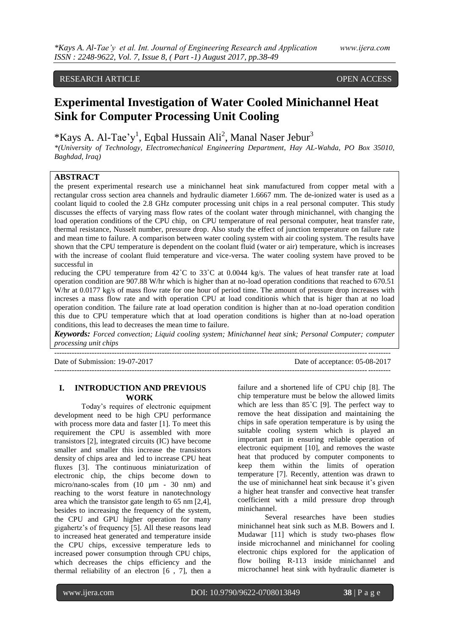# RESEARCH ARTICLE **CONSERVERS** OPEN ACCESS

# **Experimental Investigation of Water Cooled Minichannel Heat Sink for Computer Processing Unit Cooling**

\*Kays A. Al-Tae'y<sup>1</sup>, Eqbal Hussain Ali<sup>2</sup>, Manal Naser Jebur<sup>3</sup>

*\*(University of Technology, Electromechanical Engineering Department, Hay AL-Wahda, PO Box 35010, Baghdad, Iraq)*

# **ABSTRACT**

the present experimental research use a minichannel heat sink manufactured from copper metal with a rectangular cross section area channels and hydraulic diameter 1.6667 mm. The de-ionized water is used as a coolant liquid to cooled the 2.8 GHz computer processing unit chips in a real personal computer. This study discusses the effects of varying mass flow rates of the coolant water through minichannel, with changing the load operation conditions of the CPU chip, on CPU temperature of real personal computer, heat transfer rate, thermal resistance, Nusselt number, pressure drop. Also study the effect of junction temperature on failure rate and mean time to failure. A comparison between water cooling system with air cooling system. The results have shown that the CPU temperature is dependent on the coolant fluid (water or air) temperature, which is increases with the increase of coolant fluid temperature and vice-versa. The water cooling system have proved to be successful in

reducing the CPU temperature from 42˚C to 33˚C at 0.0044 kg/s. The values of heat transfer rate at load operation condition are 907.88 W/hr which is higher than at no-load operation conditions that reached to 670.51 W/hr at 0.0177 kg/s of mass flow rate for one hour of period time. The amount of pressure drop increases with increses a mass flow rate and with operation CPU at load conditionis which that is higer than at no load operation condition. The failure rate at load operation condition is higher than at no-load operation condition this due to CPU temperature which that at load operation conditions is higher than at no-load operation conditions, this lead to decreases the mean time to failure.

*Keywords: Forced convection; Liquid cooling system; Minichannel heat sink; Personal Computer; computer processing unit chips* 

-------------------------------------------------------------------------------------------------------------------------------------- Date of Submission: 19-07-2017 Date of acceptance: 05-08-2017

--------------------------------------------------------------------------------------------------------------------------------------

# **I. INTRODUCTION AND PREVIOUS WORK**

Today's requires of electronic equipment development need to be high CPU performance with process more data and faster [1]. To meet this requirement the CPU is assembled with more transistors [2], integrated circuits (IC) have become smaller and smaller this increase the transistors density of chips area and led to increase CPU heat fluxes [3]. The continuous miniaturization of electronic chip, the chips become down to micro/nano-scales from (10  $\mu$ m - 30 nm) and reaching to the worst feature in nanotechnology area which the transistor gate length to 65 nm [2,4], besides to increasing the frequency of the system, the CPU and GPU higher operation for many gigahertz's of frequency [5]. All these reasons lead to increased heat generated and temperature inside the CPU chips, excessive temperature leds to increased power consumption through CPU chips, which decreases the chips efficiency and the thermal reliability of an electron [6 , 7], then a failure and a shortened life of CPU chip [8]. The chip temperature must be below the allowed limits which are less than 85°C [9]. The perfect way to remove the heat dissipation and maintaining the chips in safe operation temperature is by using the suitable cooling system which is played an important part in ensuring reliable operation of electronic equipment [10], and removes the waste heat that produced by computer components to keep them within the limits of operation temperature [7]. Recently, attention was drawn to the use of minichannel heat sink because it's given a higher heat transfer and convective heat transfer coefficient with a mild pressure drop through minichannel.

Several researches have been studies minichannel heat sink such as M.B. Bowers and I. Mudawar [11] which is study two-phases flow inside microchannel and minichannel for cooling electronic chips explored for the application of flow boiling R-113 inside minichannel and microchannel heat sink with hydraulic diameter is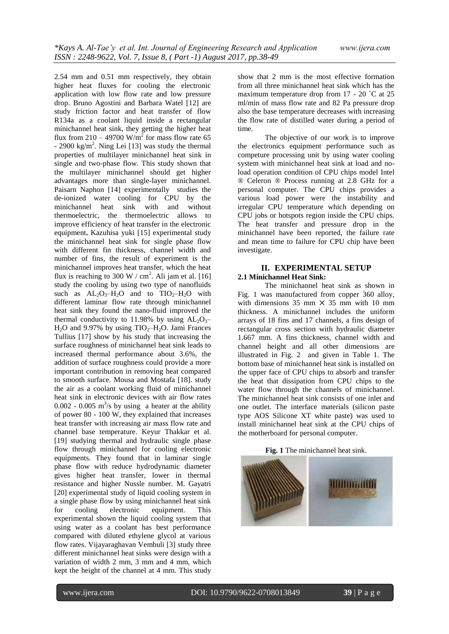2.54 mm and 0.51 mm respectively, they obtain higher heat fluxes for cooling the electronic application with low flow rate and low pressure drop. Bruno Agostini and Barbara Watel [12] are study friction factor and heat transfer of flow R134a as a coolant liquid inside a rectangular minichannel heat sink, they getting the higher heat flux from  $210 - 49700$  W/m<sup>2</sup> for mass flow rate 65  $-$  2900 kg/m<sup>2</sup>. Ning Lei [13] was study the thermal properties of multilayer minichannel heat sink in single and two-phase flow. This study shown that the multilayer minichannel should get higher advantages more than single-layer minichannel. Paisarn Naphon [14] experimentally studies the de-ionized water cooling for CPU by the minichannel heat sink with and without thermoelectric, the thermoelectric allows to improve efficiency of heat transfer in the electronic equipment**.** Kazuhisa yuki [15] experimental study the minichannel heat sink for single phase flow with different fin thickness, channel width and number of fins, the result of experiment is the minichannel improves heat transfer, which the heat flux is reaching to 300 W / cm<sup>2</sup>. Ali jam et al. [16] study the cooling by using two type of nanofluids such as  $AL_2O_3-H_2O$  and to  $TIO_2-H_2O$  with different laminar flow rate through minichannel heat sink they found the nano-fluid improved the thermal conductivity to 11.98% by using  $AL_2O_3$ - $H<sub>2</sub>O$  and 9.97% by using  $TIO<sub>2</sub>–H<sub>2</sub>O$ . Jami Frances Tullius [17] show by his study that increasing the surface roughness of minichannel heat sink leads to increased thermal performance about 3.6%, the addition of surface roughness could provide a more important contribution in removing heat compared to smooth surface. Mousa and Mostafa [18]. study the air as a coolant working fluid of minichannel heat sink in electronic devices with air flow rates  $0.002 - 0.005$  m<sup>3</sup>/s by using a heater at the ability of power 80 - 100 W, they explained that increases heat transfer with increasing air mass flow rate and channel base temperature. Keyur Thakkar et al. [19] studying thermal and hydraulic single phase flow through minichannel for cooling electronic equipments. They found that in laminar single phase flow with reduce hydrodynamic diameter gives higher heat transfer, lower in thermal resistance and higher Nussle number. M. Gayatri [20] experimental study of liquid cooling system in a single phase flow by using minichannel heat sink for cooling electronic equipment. This experimental shown the liquid cooling system that using water as a coolant has best performance compared with diluted ethylene glycol at various flow rates. Vijayaraghavan Vembuli [3] study three different minichannel heat sinks were design with a variation of width 2 mm, 3 mm and 4 mm, which kept the height of the channel at 4 mm. This study show that 2 mm is the most effective formation from all three minichannel heat sink which has the maximum temperature drop from 17 - 20 ˚C at 25 ml/min of mass flow rate and 82 Pa pressure drop also the base temperature decreases with increasing the flow rate of distilled water during a period of time.

The objective of our work is to improve the electronics equipment performance such as competure processing unit by using water cooling system with minichannel heat sink at load and noload operation condition of CPU chips model Intel ® Celeron ® Process running at 2.8 GHz for a personal computer. The CPU chips provides a various load power were the instability and irregular CPU temperature which depending on CPU jobs or hotspots region inside the CPU chips. The heat transfer and pressure drop in the minichannel have been reported, the failure rate and mean time to failure for CPU chip have been investigate.

## **II. EXPERIMENTAL SETUP 2.1 Minichannel Heat Sink:**

The minichannel heat sink as shown in Fig. 1 was manufactured from copper 360 alloy, with dimensions  $35 \text{ mm} \times 35 \text{ mm}$  with 10 mm thickness. A minichannel includes the uniform arrays of 18 fins and 17 channels, a fins design of rectangular cross section with hydraulic diameter 1.667 mm. A fins thickness, channel width and channel height and all other dimensions are illustrated in Fig. 2 and given in Table 1. The bottom base of minichannel heat sink is installed on the upper face of CPU chips to absorb and transfer the heat that dissipation from CPU chips to the water flow through the channels of minichannel. The minichannel heat sink consists of one inlet and one outlet. The interface materials (silicon paste type AOS Silicone XT white paste) was used to install minichannel heat sink at the CPU chips of the motherboard for personal computer.

**Fig. 1** The minichannel heat sink.

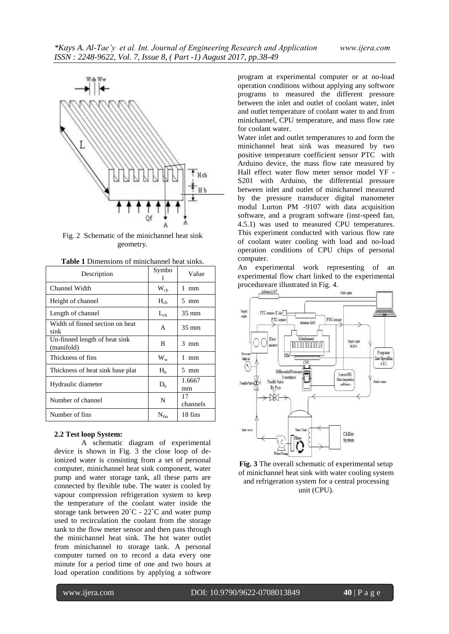

Fig. 2 Schematic of the minichannel heat sink geometry.

| Description                                 | Symbo          | Value           |
|---------------------------------------------|----------------|-----------------|
| Channel Width                               | $W_{ch}$       | 1<br>mm         |
| Height of channel                           | $H_{ch}$       | $5 \text{ mm}$  |
| Length of channel                           | $L_{ch}$       | $35 \text{ mm}$ |
| Width of finned section on heat<br>sink     | A              | $35 \text{ mm}$ |
| Un-finned length of heat sink<br>(manifold) | B              | 3<br>mm         |
| Thickness of fins                           | $W_w$          | 1<br>mm         |
| Thickness of heat sink base plat            | H <sub>b</sub> | $5 \text{ mm}$  |
| Hydraulic diameter                          | D <sub>h</sub> | 1.6667<br>mm    |
| Number of channel                           | N              | 17<br>channels  |
| Number of fins                              | $N_{fin}$      | 18 fins         |

| <b>Table 1</b> Dimensions of minichannel heat sinks. |
|------------------------------------------------------|
|------------------------------------------------------|

#### **2.2 Test loop System:**

A schematic diagram of experimental device is shown in Fig. 3 the close loop of deionized water is consisting from a set of personal computer, minichannel heat sink component, water pump and water storage tank, all these parts are connected by flexible tube. The water is cooled by vapour compression refrigeration system to keep the temperature of the coolant water inside the storage tank between 20˚C - 22˚C and water pump used to recirculation the coolant from the storage tank to the flow meter sensor and then pass through the minichannel heat sink. The hot water outlet from minichannel to storage tank. A personal computer turned on to record a data every one minute for a period time of one and two hours at load operation conditions by applying a softwore

program at experimental computer or at no-load operation conditions without applying any softwore programs to measured the different pressure between the inlet and outlet of coolant water, inlet and outlet temperature of coolant water to and from minichannel, CPU temperature, and mass flow rate for coolant water.

Water inlet and outlet temperatures to and form the minichannel heat sink was measured by two positive temperature coefficient sensor PTC with Arduino device, the mass flow rate measured by Hall effect water flow meter sensor model YF - S201 with Arduino, the differential pressure between inlet and outlet of minichannel measured by the pressure transducer digital manometer modul Lurton PM -9107 with data acquisition software, and a program software (inst-speed fan, 4.5.1) was used to measured CPU temperatures. This experiment conducted with various flow rate of coolant water cooling with load and no-load operation conditions of CPU chips of personal computer.

An experimental work representing of an experimental flow chart linked to the experimental procedureare illustrated in Fig. 4.



**Fig. 3** The overall schematic of experimental setup of minichannel heat sink with water cooling system and refrigeration system for a central processing unit (CPU).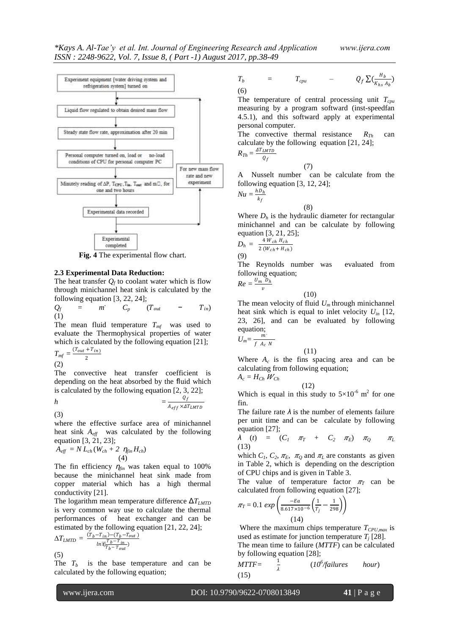

**Fig. 4** The experimental flow chart.

### **2.3 Experimental Data Reduction:**

The heat transfer  $Q_f$  to coolant water which is flow through minichannel heat sink is calculated by the following equation [3, 22, 24];

 $Q_f$  =  $m^2$  $C_p$  ( $T_{out}$  –  $T_{in}$ ) (1)

The mean fluid temperature  $T_{mf}$  was used to evaluate the Thermophysical properties of water which is calculated by the following equation [21];  $T_{\textit{mf}} = \frac{(T_{\textit{out}} + T_{\textit{in}})}{2}$  $\frac{(n+1)(n)}{2}$ 

(2)

(3)

The convective heat transfer coefficient is depending on the heat absorbed by the fluid which is calculated by the following equation [2, 3, 22];

$$
h = \frac{Q_f}{A_{eff} \times \Delta T_{LMTD}}
$$

where the effective surface area of minichannel heat sink *Aeff* was calculated by the following equation [3, 21, 23];

$$
\tilde{A}_{\text{eff}} = N L_{ch} (W_{ch} + 2 \eta_{fin} H_{ch})
$$
\n(4)

The fin efficiency *ηfin* was taken equal to 100% because the minichannel heat sink made from copper material which has a high thermal conductivity [21].

The logarithm mean temperature difference Δ*TLMTD* is very common way use to calculate the thermal performances of heat exchanger and can be estimated by the following equation [21, 22, 24];

$$
\Delta T_{LMTD} = \frac{(\overline{T}_b - \overline{T}_{in}) - (\overline{T}_b - \overline{T}_{out})}{ln[\overline{C}] \overline{T}_b - \overline{T}_{out}]}
$$
\n(5)

The  $T_b$  is the base temperature and can be calculated by the following equation;

$$
T_b = T_{cpu} - Q_f \sum (\frac{H_b}{K_{hs} A_b})
$$
\n(6)

The temperature of central processing unit *Tcpu* measuring by a program softward (inst-speedfan 4.5.1), and this softward apply at experimental personal computer.

The convective thermal resistance  $R_{Th}$  can calculate by the following equation [21, 24]; *R*<sup> $7$ </sup>

$$
r_h = \frac{\Delta T_{LMTD}}{Q_f}
$$

(7)

Nusselt number can be calculate from the following equation [3, 12, 24];  $hD<sub>h</sub>$ 

$$
Nu = \frac{hD_h}{k_f}
$$

(8) Where  $D_h$  is the hydraulic diameter for rectangular minichannel and can be calculate by following equation [3, 21, 25];

$$
D_h = \frac{4 W_{ch} H_{ch}}{2 (W_{ch} + H_{ch})}
$$

(9)

The Reynolds number was evaluated from following equation;

$$
Re=\frac{U_m D_h}{v}
$$

(10)

The mean velocity of fluid  $U_m$  through minichannel heat sink which is equal to inlet velocity *Uin* [12, 23, 26], and can be evaluated by following equation;<br> $\frac{m}{m}$ 

$$
U_m = \frac{m}{f A_c N}
$$

Where  $A_c$  is the fins spacing area and can be calculating from following equation;  $A_c = H_{Ch}$   $W_{Ch}$ 

$$
\tag{12}
$$

(11)

Which is equal in this study to  $5 \times 10^{-6}$  m<sup>2</sup> for one fin.

The failure rate  $\lambda$  is the number of elements failure per unit time and can be calculate by following equation [27];

*λ* (*t*) *=* (*C<sup>1</sup> <sup>T</sup> + C<sup>2</sup> E*) *<sup>Q</sup> <sup>L</sup>* (13)

which  $C_1$ ,  $C_2$ ,  $\pi_E$ ,  $\pi_O$  and  $\pi_L$  are constants as given in Table 2, which is depending on the description of CPU chips and is given in Table 3.

The value of temperature factor  $\pi$ <sup>T</sup> can be calculated from following equation [27];

$$
\pi_T = 0.1 \exp\left(\frac{-\varepsilon a}{8.617 \times 10^{-6}} \left(\frac{1}{T_j} - \frac{1}{298}\right)\right) \tag{14}
$$

Where the maximum chips temperature  $T_{\text{CPU},\text{max}}$  is used as estimate for junction temperature  $T_i$  [28].

The mean time to failure (*MTTF*) can be calculated by following equation [28];

$$
MTTF = \frac{1}{\lambda} \qquad (10^6 \text{/failures} \qquad hour)
$$
\n(15)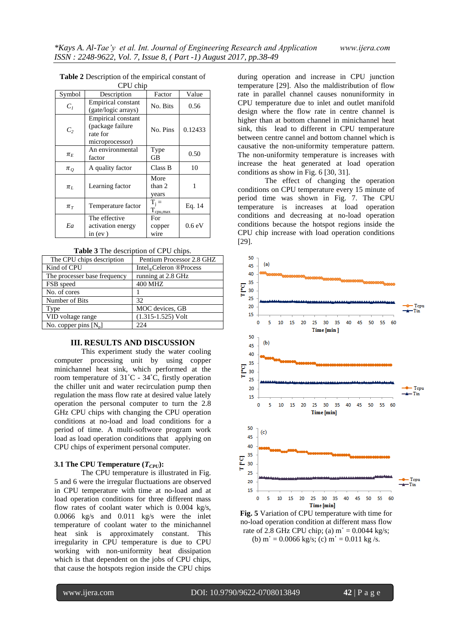| Symbol                       | Description                                                                  | Factor                          | Value   |
|------------------------------|------------------------------------------------------------------------------|---------------------------------|---------|
| $C_I$                        | <b>Empirical constant</b><br>(gate/logic arrays)                             | No. Bits                        | 0.56    |
| $C_{2}$                      | <b>Empirical constant</b><br>(package failure<br>rate for<br>microprocessor) | No. Pins                        | 0.12433 |
| $\pi_E$                      | An environmental<br>factor                                                   | Type<br>GB                      | 0.50    |
| $\pi_{O}$                    | A quality factor                                                             | Class B                         | 10      |
| $\pi_L$                      | Learning factor                                                              | More<br>than 2<br>years         | 1       |
| $\pi_{\scriptscriptstyle T}$ | Temperature factor                                                           | $T_i =$<br>$T_{\text{cpu,max}}$ | Eq. 14  |
| Ea                           | The effective<br>activation energy<br>in $(ev)$                              | For<br>copper<br>wire           | 0.6 eV  |

#### **Table 2** Description of the empirical constant of CPU chip

| <b>Table 3</b> The description of CPU chips. |  |
|----------------------------------------------|--|
|----------------------------------------------|--|

| The CPU chips description    | Pentium Processor 2.8 GHZ           |
|------------------------------|-------------------------------------|
| Kind of CPU                  | Intel <sub>®</sub> Celeron ®Process |
| The processer base frequency | running at 2.8 GHz                  |
| FSB speed                    | <b>400 MHZ</b>                      |
| No. of cores                 |                                     |
| Number of Bits               | 32                                  |
| Type                         | MOC devices, GB                     |
| VID voltage range            | $(1.315 - 1.525)$ Volt              |
| No. copper pins $[N_n]$      | 224                                 |

# **III. RESULTS AND DISCUSSION**

This experiment study the water cooling computer processing unit by using copper minichannel heat sink, which performed at the room temperature of 31˚C - 34˚C, firstly operation the chiller unit and water recirculation pump then regulation the mass flow rate at desired value lately operation the personal computer to turn the 2.8 GHz CPU chips with changing the CPU operation conditions at no-load and load conditions for a period of time. A multi-softwore program work load as load operation conditions that applying on CPU chips of experiment personal computer.

### **3.1 The CPU Temperature**  $(T_{CPI})$ **:**

The CPU temperature is illustrated in Fig. 5 and 6 were the irregular fluctuations are observed in CPU temperature with time at no-load and at load operation conditions for three different mass flow rates of coolant water which is 0.004 kg/s, 0.0066 kg/s and 0.011 kg/s were the inlet temperature of coolant water to the minichannel heat sink is approximately constant. This irregularity in CPU temperature is due to CPU working with non-uniformity heat dissipation which is that dependent on the jobs of CPU chips, that cause the hotspots region inside the CPU chips

during operation and increase in CPU junction temperature [29]. Also the maldistribution of flow rate in parallel channel causes nonuniformity in CPU temperature due to inlet and outlet manifold design where the flow rate in centre channel is higher than at bottom channel in minichannel heat sink, this lead to different in CPU temperature between centre cannel and bottom channel which is causative the non-uniformity temperature pattern. The non-uniformity temperature is increases with increase the heat generated at load operation conditions as show in Fig. 6 [30, 31].

The effect of changing the operation conditions on CPU temperature every 15 minute of period time was shown in Fig. 7. The CPU temperature is increases at load operation conditions and decreasing at no-load operation conditions because the hotspot regions inside the CPU chip increase with load operation conditions [29].



**Fig. 5** Variation of CPU temperature with time for no-load operation condition at different mass flow rate of 2.8 GHz CPU chip; (a)  $m = 0.0044$  kg/s; (b)  $m' = 0.0066$  kg/s; (c)  $m' = 0.011$  kg/s.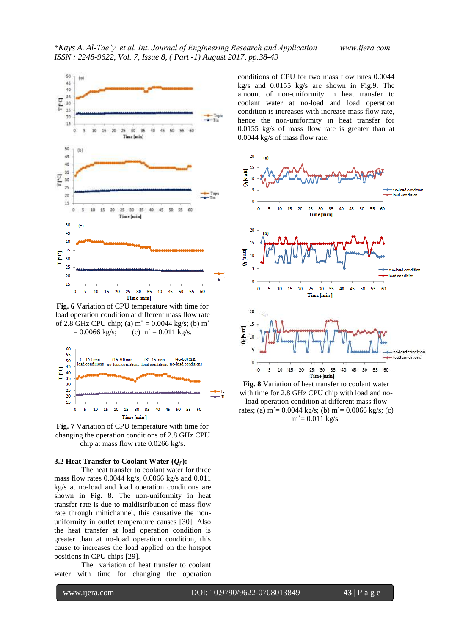

**Fig. 6** Variation of CPU temperature with time for load operation condition at different mass flow rate of 2.8 GHz CPU chip; (a)  $m = 0.0044$  kg/s; (b) m  $= 0.0066$  kg/s; (c) m  $= 0.011$  kg/s.



**Fig. 7** Variation of CPU temperature with time for changing the operation conditions of 2.8 GHz CPU chip at mass flow rate 0.0266 kg/s.

#### **3.2 Heat Transfer to Coolant Water**  $(Q_f)$ **:**

The heat transfer to coolant water for three mass flow rates 0.0044 kg/s, 0.0066 kg/s and 0.011 kg/s at no-load and load operation conditions are shown in Fig. 8. The non-uniformity in heat transfer rate is due to maldistribution of mass flow rate through minichannel, this causative the nonuniformity in outlet temperature causes [30]. Also the heat transfer at load operation condition is greater than at no-load operation condition, this cause to increases the load applied on the hotspot positions in CPU chips [29].

The variation of heat transfer to coolant water with time for changing the operation

conditions of CPU for two mass flow rates 0.0044 kg/s and 0.0155 kg/s are shown in Fig.9. The amount of non-uniformity in heat transfer to coolant water at no-load and load operation condition is increases with increase mass flow rate, hence the non-uniformity in heat transfer for 0.0155 kg/s of mass flow rate is greater than at 0.0044 kg/s of mass flow rate.



**Fig. 8** Variation of heat transfer to coolant water with time for 2.8 GHz CPU chip with load and noload operation condition at different mass flow rates; (a)  $m = 0.0044$  kg/s; (b)  $m = 0.0066$  kg/s; (c)  $m = 0.011 \text{ kg/s}.$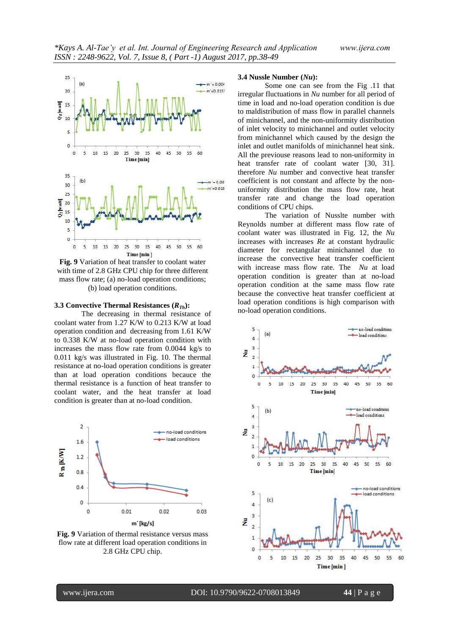

**Fig. 9** Variation of heat transfer to coolant water with time of 2.8 GHz CPU chip for three different mass flow rate; (a) no-load operation conditions; (b) load operation conditions.

### **3.3 Convective Thermal Resistances (***RTh***):**

The decreasing in thermal resistance of coolant water from 1.27 K/W to 0.213 K/W at load operation condition and decreasing from 1.61 K/W to 0.338 K/W at no-load operation condition with increases the mass flow rate from 0.0044 kg/s to 0.011 kg/s was illustrated in Fig. 10. The thermal resistance at no-load operation conditions is greater than at load operation conditions becauce the thermal resistance is a function of heat transfer to coolant water, and the heat transfer at load condition is greater than at no-load condition.



**Fig. 9** Variation of thermal resistance versus mass flow rate at different load operation conditions in 2.8 GHz CPU chip.

# **3.4 Nussle Number (***Nu***):**

Some one can see from the Fig .11 that irregular fluctuations in *Nu* number for all period of time in load and no-load operation condition is due to maldistribution of mass flow in parallel channels of minichannel, and the non-uniformity distribution of inlet velocity to minichannel and outlet velocity from minichannel which caused by the design the inlet and outlet manifolds of minichannel heat sink. All the previouse reasons lead to non-uniformity in heat transfer rate of coolant water [30, 31]. therefore *Nu* number and convective heat transfer coefficient is not constant and affecte by the nonuniformity distribution the mass flow rate, heat transfer rate and change the load operation conditions of CPU chips.

The variation of Nusslte number with Reynolds number at different mass flow rate of coolant water was illustrated in Fig. 12, the *Nu* increases with increases *Re* at constant hydraulic diameter for rectangular minichannel due to increase the convective heat transfer coefficient with increase mass flow rate. The *Nu* at load operation condition is greater than at no-load operation condition at the same mass flow rate because the convective heat transfer coefficient at load operation conditions is high comparison with no-load operation conditions.

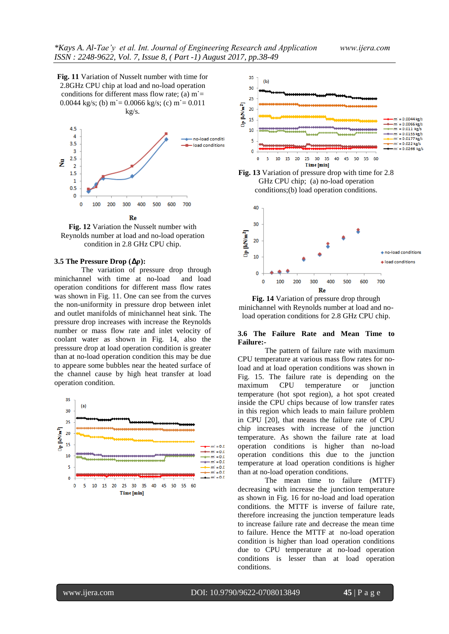**Fig. 11** Variation of Nusselt number with time for 2.8GHz CPU chip at load and no-load operation conditions for different mass flow rate; (a)  $m =$ 0.0044 kg/s; (b) m = 0.0066 kg/s; (c) m = 0.011 kg/s.



**Fig. 12** Variation the Nusselt number with Reynolds number at load and no-load operation condition in 2.8 GHz CPU chip.

#### **3.5** The Pressure Drop  $(\Delta p)$ :

The variation of pressure drop through minichannel with time at no-load and load operation conditions for different mass flow rates was shown in Fig. 11. One can see from the curves the non-uniformity in pressure drop between inlet and outlet manifolds of minichannel heat sink. The pressure drop increases with increase the Reynolds number or mass flow rate and inlet velocity of coolant water as shown in Fig. 14, also the presssure drop at load operation condition is greater than at no-load operation condition this may be due to appeare some bubbles near the heated surface of the channel cause by high heat transfer at load operation condition.







**Fig. 14** Variation of pressure drop through minichannel with Reynolds number at load and noload operation conditions for 2.8 GHz CPU chip.

### **3.6 The Failure Rate and Mean Time to Failure:-**

The pattern of failure rate with maximum CPU temperature at various mass flow rates for noload and at load operation conditions was shown in Fig. 15. The failure rate is depending on the maximum CPU temperature or junction temperature (hot spot region), a hot spot created inside the CPU chips because of low transfer rates in this region which leads to main failure problem in CPU [20], that means the failure rate of CPU chip increases with increase of the junction temperature. As shown the failure rate at load operation conditions is higher than no-load operation conditions this due to the junction temperature at load operation conditions is higher than at no-load operation conditions.

The mean time to failure (MTTF) decreasing with increase the junction temperature as shown in Fig. 16 for no-load and load operation conditions. the MTTF is inverse of failure rate, therefore increasing the junction temperature leads to increase failure rate and decrease the mean time to failure. Hence the MTTF at no-load operation condition is higher than load operation conditions due to CPU temperature at no-load operation conditions is lesser than at load operation conditions.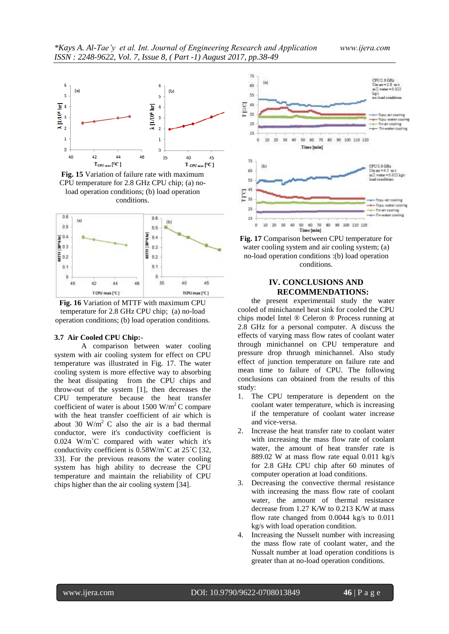

**Fig. 15** Variation of failure rate with maximum CPU temperature for 2.8 GHz CPU chip; (a) noload operation conditions; (b) load operation conditions.



**Fig. 16** Variation of MTTF with maximum CPU temperature for 2.8 GHz CPU chip; (a) no-load operation conditions; (b) load operation conditions.

### **3.7 Air Cooled CPU Chip:-**

A comparison between water cooling system with air cooling system for effect on CPU temperature was illustrated in Fig. 17. The water cooling system is more effective way to absorbing the heat dissipating from the CPU chips and throw-out of the system [1], then decreases the CPU temperature because the heat transfer coefficient of water is about 1500 W/m<sup>2</sup>C compare with the heat transfer coefficient of air which is about 30 W/m<sup>2</sup> C also the air is a bad thermal conductor, were it's conductivity coefficient is 0.024 W/m˚C compared with water which it's conductivity coefficient is 0.58W/m˚C at 25˚C [32, 33]. For the previous reasons the water cooling system has high ability to decrease the CPU temperature and maintain the reliability of CPU chips higher than the air cooling system [34].



**Fig. 17** Comparison between CPU temperature for water cooling system and air cooling system; (a) no-load operation conditions :(b) load operation conditions.

# **IV. CONCLUSIONS AND RECOMMENDATIONS:**

the present experimentail study the water cooled of minichannel heat sink for cooled the CPU chips model Intel ® Celeron ® Process running at 2.8 GHz for a personal computer. A discuss the effects of varying mass flow rates of coolant water through minichannel on CPU temperature and pressure drop thruogh minichannel. Also study effect of junction temperature on failure rate and mean time to failure of CPU. The following conclusions can obtained from the results of this study:

- 1. The CPU temperature is dependent on the coolant water temperature, which is increasing if the temperature of coolant water increase and vice-versa.
- 2. Increase the heat transfer rate to coolant water with increasing the mass flow rate of coolant water, the amount of heat transfer rate is 889.02 W at mass flow rate equal 0.011 kg/s for 2.8 GHz CPU chip after 60 minutes of computer operation at load conditions.
- 3. Decreasing the convective thermal resistance with increasing the mass flow rate of coolant water, the amount of thermal resistance decrease from 1.27 K/W to 0.213 K/W at mass flow rate changed from 0.0044 kg/s to 0.011 kg/s with load operation condition.
- 4. Increasing the Nusselt number with increasing the mass flow rate of coolant water, and the Nussalt number at load operation conditions is greater than at no-load operation conditions.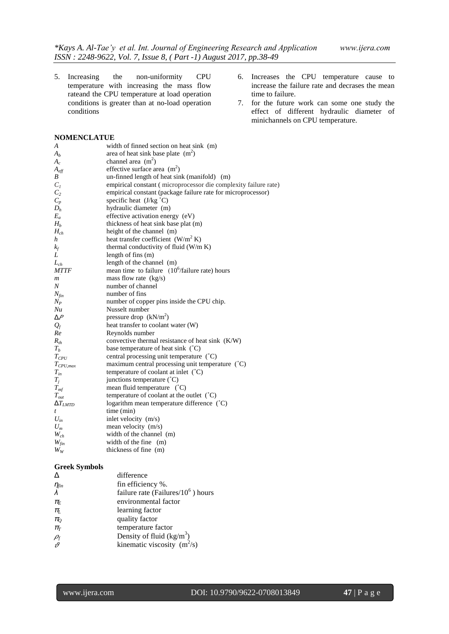5. Increasing the non-uniformity CPU temperature with increasing the mass flow rateand the CPU temperature at load operation conditions is greater than at no-load operation conditions

### **NOMENCLATUE**

| A                 | width of finned section on heat sink (m)                        |
|-------------------|-----------------------------------------------------------------|
| $A_h$             | area of heat sink base plate $(m2)$                             |
| $A_{c}$           | channel area $(m^2)$                                            |
| $A_{\text{eff}}$  | effective surface area $(m2)$                                   |
| B                 | un-finned length of heat sink (manifold) (m)                    |
| $C_I$             | empirical constant (microprocessor die complexity failure rate) |
| C <sub>2</sub>    | empirical constant (package failure rate for microprocessor)    |
| $C_p$             | specific heat $(J/kg °C)$                                       |
| $D_h$             | hydraulic diameter (m)                                          |
| $E_a$             | effective activation energy (eV)                                |
| $H_h$             | thickness of heat sink base plat (m)                            |
| $H_{ch}$          | height of the channel (m)                                       |
| h                 | heat transfer coefficient $(W/m^2 K)$                           |
| $k_f$             | thermal conductivity of fluid (W/m K)                           |
| L                 | length of fins $(m)$                                            |
| $L_{ch}$          | length of the channel (m)                                       |
| <i>MTTF</i>       | mean time to failure $(10^6/\text{failure rate})$ hours         |
| $\boldsymbol{m}$  | mass flow rate $(kg/s)$                                         |
| $\boldsymbol{N}$  | number of channel                                               |
| $N_{fin}$         | number of fins                                                  |
| $N_P$             | number of copper pins inside the CPU chip.                      |
| Nu                | Nusselt number                                                  |
| $\Delta P$        | pressure drop $(kN/m2)$                                         |
| $Q_{f}$           | heat transfer to coolant water (W)                              |
| Re                | Reynolds number                                                 |
| $R_{th}$          | convective thermal resistance of heat sink (K/W)                |
| $T_h$             | base temperature of heat sink $(^{\circ}C)$                     |
| $T_{CPU}$         | central processing unit temperature $({}^{\circ}C)$             |
| $T_{CPU,max}$     | maximum central processing unit temperature $({}^{\circ}C)$     |
| $T_{in}$          | temperature of coolant at inlet (°C)                            |
| $T_i$             | junctions temperature (°C)                                      |
| $T_{\text{mf}}$   | mean fluid temperature (°C)                                     |
| $T_{out}$         | temperature of coolant at the outlet (°C)                       |
| $\Delta T_{LMTD}$ | logarithm mean temperature difference (°C)                      |
| t                 | time (min)                                                      |
| $U_{\rm in}$      | inlet velocity (m/s)                                            |
| $U_m$             | mean velocity (m/s)                                             |
| $W_{ch}$          | width of the channel (m)                                        |
| $W_{fin}$         | width of the fine (m)                                           |
| $W_W$             | thickness of fine (m)                                           |

### **Greek Symbols**

| Λ                                   | difference                             |
|-------------------------------------|----------------------------------------|
|                                     | fin efficiency %.                      |
| $\frac{\eta_{fin}}{\lambda}$        | failure rate (Failures/ $10^6$ ) hours |
| $\pi_{\!\scriptscriptstyle E}$      | environmental factor                   |
| $\pi_{L}$                           | learning factor                        |
| $\pi_{\!\scriptscriptstyle Q}$      | quality factor                         |
| $\pi_{r}$                           | temperature factor                     |
|                                     | Density of fluid $(kg/m3)$             |
| $\frac{\rho_{\text{f}}}{\vartheta}$ | kinematic viscosity $(m^2/s)$          |
|                                     |                                        |

- 6. Increases the CPU temperature cause to increase the failure rate and decrases the mean time to failure.
- 7. for the future work can some one study the effect of different hydraulic diameter of minichannels on CPU temperature.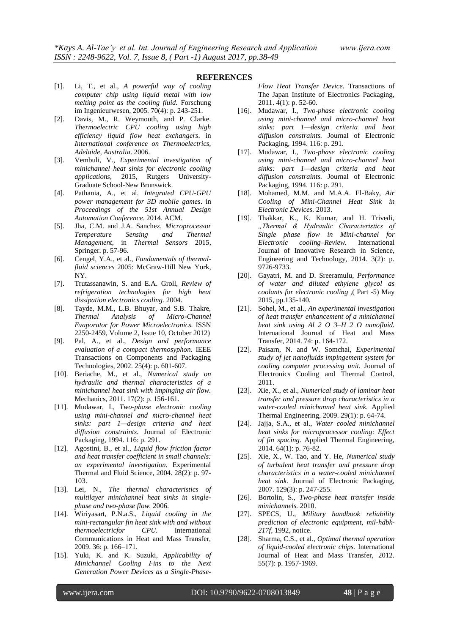#### **REFERENCES**

- [1]. Li, T., et al., *A powerful way of cooling computer chip using liquid metal with low melting point as the cooling fluid.* Forschung im Ingenieurwesen, 2005. 70(4): p. 243-251.
- [2]. Davis, M., R. Weymouth, and P. Clarke. *Thermoelectric CPU cooling using high efficiency liquid flow heat exchangers*. in *International conference on Thermoelectrics, Adelaide, Australia*. 2006.
- [3]. Vembuli, V., *Experimental investigation of minichannel heat sinks for electronic cooling applications*, 2015, Rutgers University-Graduate School-New Brunswick.
- [4]. Pathania, A., et al. *Integrated CPU-GPU power management for 3D mobile games*. in *Proceedings of the 51st Annual Design Automation Conference*. 2014. ACM.
- [5]. Jha, C.M. and J.A. Sanchez, *Microprocessor Temperature Sensing and Thermal Management*, in *Thermal Sensors* 2015, Springer. p. 57-96.
- [6]. Cengel, Y.A., et al., *Fundamentals of thermalfluid sciences* 2005: McGraw-Hill New York, NY.
- [7]. Trutassanawin, S. and E.A. Groll, *Review of refrigeration technologies for high heat dissipation electronics cooling.* 2004.
- [8]. Tayde, M.M., L.B. Bhuyar, and S.B. Thakre, *Thermal Analysis of Micro-Channel Evaporator for Power Microelectronics.* ISSN 2250-2459, Volume 2, Issue 10, October 2012)
- [9]. Pal, A., et al., *Design and performance evaluation of a compact thermosyphon.* IEEE Transactions on Components and Packaging Technologies, 2002. 25(4): p. 601-607.
- [10]. Beriache, M., et al., *Numerical study on hydraulic and thermal characteristics of a minichannel heat sink with impinging air flow.* Mechanics, 2011. 17(2): p. 156-161.
- [11]. Mudawar, I., *Two-phase electronic cooling using mini-channel and micro-channel heat sinks: part 1—design criteria and heat diffusion constraints.* Journal of Electronic Packaging, 1994. 116: p. 291.
- [12]. Agostini, B., et al., *Liquid flow friction factor and heat transfer coefficient in small channels: an experimental investigation.* Experimental Thermal and Fluid Science, 2004. 28(2): p. 97- 103.
- [13]. Lei, N., *The thermal characteristics of multilayer minichannel heat sinks in singlephase and two-phase flow.* 2006.
- [14]. Wiriyasart, P.N.a.S., *Liquid cooling in the mini-rectangular fin heat sink with and without thermoelectricfor CPU.* International Communications in Heat and Mass Transfer, 2009. 36: p. 166–171.
- [15]. Yuki, K. and K. Suzuki, *Applicability of Minichannel Cooling Fins to the Next Generation Power Devices as a Single-Phase-*

*Flow Heat Transfer Device.* Transactions of The Japan Institute of Electronics Packaging, 2011. 4(1): p. 52-60.

- [16]. Mudawar, I., *Two-phase electronic cooling using mini-channel and micro-channel heat sinks: part 1—design criteria and heat diffusion constraints.* Journal of Electronic Packaging, 1994. 116: p. 291.
- [17]. Mudawar, I., *Two-phase electronic cooling using mini-channel and micro-channel heat sinks: part 1—design criteria and heat diffusion constraints.* Journal of Electronic Packaging, 1994. 116: p. 291.
- [18]. Mohamed, M.M. and M.A.A. El-Baky, *Air Cooling of Mini-Channel Heat Sink in Electronic Devices.* 2013.
- [19]. Thakkar, K., K. Kumar, and H. Trivedi, *"Thermal & Hydraulic Characteristics of Single phase flow in Mini-channel for Electronic cooling–Review.* International Journal of Innovative Research in Science, Engineering and Technology, 2014. 3(2): p. 9726-9733.
- [20]. Gayatri, M. and D. Sreeramulu, *Performance of water and diluted ethylene glycol as coolants for electronic cooling ,*( Part -5) May 2015, pp.135-140*.*
- [21]. Sohel, M., et al., *An experimental investigation of heat transfer enhancement of a minichannel heat sink using Al 2 O 3–H 2 O nanofluid.* International Journal of Heat and Mass Transfer, 2014. 74: p. 164-172.
- [22]. Paisarn, N. and W. Somchai, *Experimental study of jet nanofluids impingement system for cooling computer processing unit.* Journal of Electronics Cooling and Thermal Control, 2011.
- [23]. Xie, X., et al., *Numerical study of laminar heat transfer and pressure drop characteristics in a water-cooled minichannel heat sink.* Applied Thermal Engineering, 2009. 29(1): p. 64-74.
- [24]. Jajja, S.A., et al., *Water cooled minichannel heat sinks for microprocessor cooling: Effect of fin spacing.* Applied Thermal Engineering, 2014. 64(1): p. 76-82.
- [25]. Xie, X., W. Tao, and Y. He, *Numerical study of turbulent heat transfer and pressure drop characteristics in a water-cooled minichannel heat sink.* Journal of Electronic Packaging, 2007. 129(3): p. 247-255.
- [26]. Bortolin, S., *Two-phase heat transfer inside minichannels.* 2010.
- [27]. SPECS, U., *Military handbook reliability prediction of electronic equipment, mil-hdbk-217f*, 1992, notice.
- [28]. Sharma, C.S., et al., *Optimal thermal operation of liquid-cooled electronic chips.* International Journal of Heat and Mass Transfer, 2012. 55(7): p. 1957-1969.